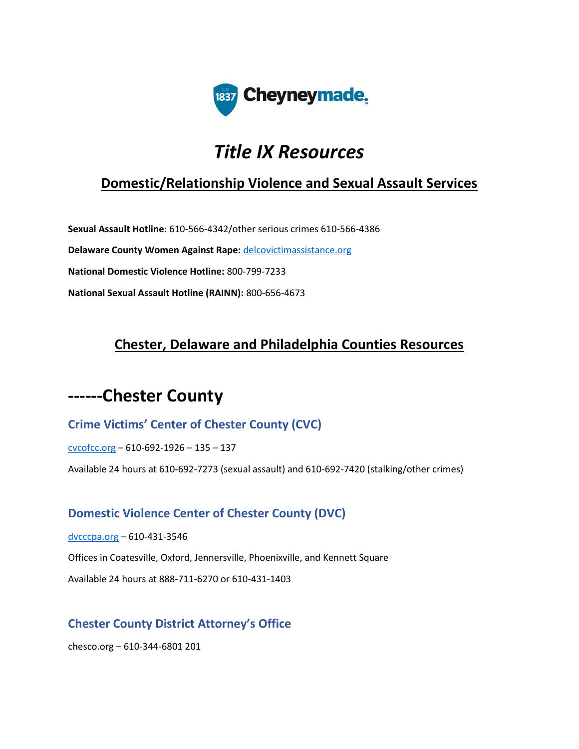

# *Title IX Resources*

## **Domestic/Relationship Violence and Sexual Assault Services**

**Sexual Assault Hotline**: 610-566-4342/other serious crimes 610-566-4386 **Delaware County Women Against Rape:** [delcovictimassistance.org](http://delcovictimassistance.org/) **National Domestic Violence Hotline:** 800-799-7233 **National Sexual Assault Hotline (RAINN):** 800-656-4673

## **Chester, Delaware and Philadelphia Counties Resources**

## **------Chester County**

### **Crime Victims' Center of Chester County (CVC)**

[cvcofcc.org](http://cvcofcc.org/) – 610-692-1926 – 135 – 137

Available 24 hours at 610-692-7273 (sexual assault) and 610-692-7420 (stalking/other crimes)

#### **Domestic Violence Center of Chester County (DVC)**

[dvcccpa.org](http://dvcccpa.org/) – 610-431-3546

Offices in Coatesville, Oxford, Jennersville, Phoenixville, and Kennett Square

Available 24 hours at 888-711-6270 or 610-431-1403

#### **Chester County District Attorney's Office**

chesco.org – 610-344-6801 201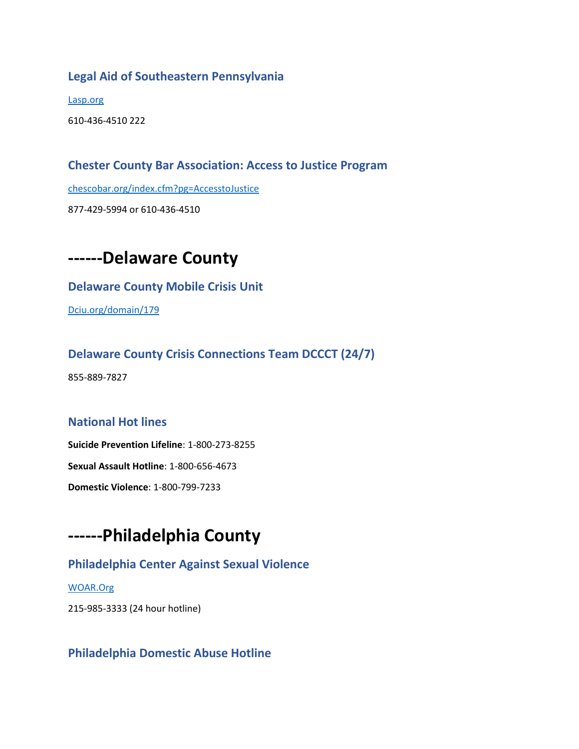#### **Legal Aid of Southeastern Pennsylvania**

[Lasp.org](http://lasp.org/)

610-436-4510 222

#### **Chester County Bar Association: Access to Justice Program**

[chescobar.org/index.cfm?pg=AccesstoJustice](http://chescobar.org/index.cfm?pg=AccesstoJustice)

877-429-5994 or 610-436-4510



#### **Delaware County Mobile Crisis Unit**

[Dciu.org/domain/179](http://dciu.org/domain/179)

#### **Delaware County Crisis Connections Team DCCCT (24/7)**

855-889-7827

#### **National Hot lines**

**Suicide Prevention Lifeline**: 1-800-273-8255

**Sexual Assault Hotline**: 1-800-656-4673

**Domestic Violence**: 1-800-799-7233

## **------Philadelphia County**

#### **Philadelphia Center Against Sexual Violence**

[WOAR.Org](http://woar.org/)

215-985-3333 (24 hour hotline)

#### **Philadelphia Domestic Abuse Hotline**